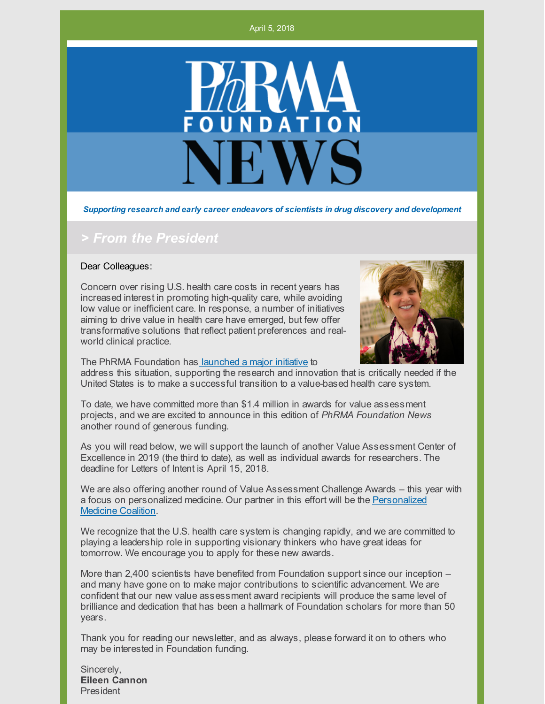April 5, 2018



*Supporting research and early career endeavors of scientists in drug discovery and development*

### *> From the President*

#### Dear Colleagues:

Concern over rising U.S. health care costs in recent years has increased interest in promoting high-quality care, while avoiding low value or inefficient care. In response, a number of initiatives aiming to drive value in health care have emerged, but few offer transformative solutions that reflect patient preferences and realworld clinical practice.



The PhRMA Foundation has [launched](http://www.phrmafoundation.org/2018-awards/value-assessment-initiative/) a major initiative to address this situation, supporting the research and innovation that is critically needed if the United States is to make a successful transition to a value-based health care system.

To date, we have committed more than \$1.4 million in awards for value assessment projects, and we are excited to announce in this edition of *PhRMA Foundation News* another round of generous funding.

As you will read below, we will support the launch of another Value Assessment Center of Excellence in 2019 (the third to date), as well as individual awards for researchers. The deadline for Letters of Intent is April 15, 2018.

We are also offering another round of Value Assessment Challenge Awards – this year with a focus on [personalized](http://www.personalizedmedicinecoalition.org/) medicine. Our partner in this effort will be the Personalized Medicine Coalition.

We recognize that the U.S. health care system is changing rapidly, and we are committed to playing a leadership role in supporting visionary thinkers who have great ideas for tomorrow. We encourage you to apply for these new awards.

More than 2,400 scientists have benefited from Foundation support since our inception – and many have gone on to make major contributions to scientific advancement. We are confident that our new value assessment award recipients will produce the same level of brilliance and dedication that has been a hallmark of Foundation scholars for more than 50 years.

Thank you for reading our newsletter, and as always, please forward it on to others who may be interested in Foundation funding.

Sincerely, **Eileen Cannon** President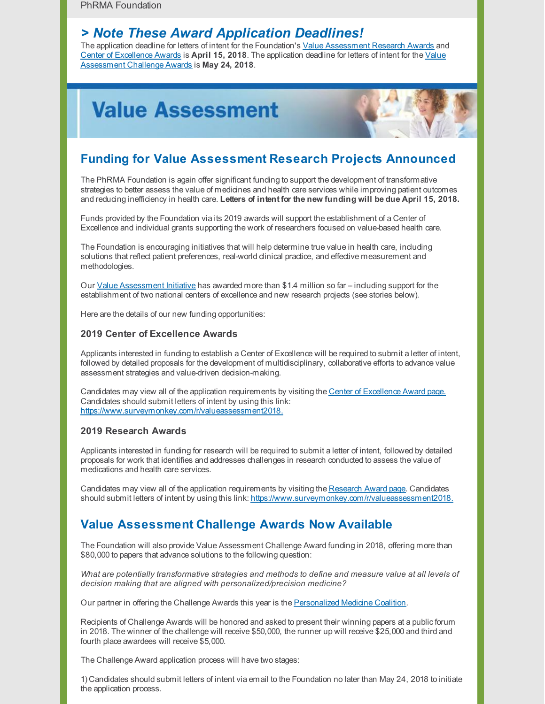## *> Note These Award Application Deadlines!*

The application deadline for letters of intent for the Foundation's Value [Assessment](http://www.phrmafoundation.org/2018-awards/value-assessment-initiative/research-awards-1/) Research Awards and Center of [Excellence](http://www.phrmafoundation.org/2018-awards/value-assessment-initiative/center-of-excellence-awards-1/) Awards is **April 15, 2018**. The application deadline for letters of intent for the Value [Assessment](http://www.phrmafoundation.org/wp-content/uploads/2018/04/PhRMAFoundation_ValueAssessmentRFP_ChallengeAward-0402.pdf) Challenge Awards is **May 24, 2018**.

# **Value Assessment**



### **Funding for Value Assessment Research Projects Announced**

The PhRMA Foundation is again offer significant funding to support the development of transformative strategies to better assess the value of medicines and health care services while improving patient outcomes and reducing inefficiency in health care. **Letters of intent for the new funding will be due April 15, 2018.**

Funds provided by the Foundation via its 2019 awards will support the establishment of a Center of Excellence and individual grants supporting the work of researchers focused on value-based health care.

The Foundation is encouraging initiatives that will help determine true value in health care, including solutions that reflect patient preferences, real-world clinical practice, and effective measurement and methodologies.

Our Value [Assessment](http://www.phrmafoundation.org/2018-awards/value-assessment-initiative/) Initiative has awarded more than \$1.4 million so far -- induding support for the establishment of two national centers of excellence and new research projects (see stories below).

Here are the details of our new funding opportunities:

#### **2019 Center of Excellence Awards**

Applicants interested in funding to establish a Center of Excellence will be required to submit a letter of intent, followed by detailed proposals for the development of multidisciplinary, collaborative efforts to advance value assessment strategies and value-driven decision-making.

Candidates may view all of the application requirements by visiting the Center of [Excellence](http://www.phrmafoundation.org/2018-awards/value-assessment-initiative/center-of-excellence-awards-1/) Award page. Candidates should submit letters of intent by using this link: [https://www.surveymonkey.com/r/valueassessment2018.](https://www.surveymonkey.com/r/valueassessment2018)

#### **2019 Research Awards**

Applicants interested in funding for research will be required to submit a letter of intent, followed by detailed proposals for work that identifies and addresses challenges in research conducted to assess the value of medications and health care services.

Candidates may view all of the application requirements by visiting the [Research](http://www.phrmafoundation.org/2018-awards/value-assessment-initiative/research-awards-1/) Award page. Candidates should submit letters of intent by using this link: [https://www.surveymonkey.com/r/valueassessment2018.](https://www.surveymonkey.com/r/valueassessment2018)

### **Value Assessment Challenge Awards Now Available**

The Foundation will also provide Value Assessment Challenge Award funding in 2018, offering more than \$80,000 to papers that advance solutions to the following question:

*What are potentially transformative strategies and methods to define and measure value at all levels of decision making that are aligned with personalized/precision medicine?*

Our partner in offering the Challenge Awards this year is the [Personalized](http://www.personalizedmedicinecoalition.org/) Medicine Coalition.

Recipients of Challenge Awards will be honored and asked to present their winning papers at a publicforum in 2018. The winner of the challenge will receive \$50,000, the runner up will receive \$25,000 and third and fourth place awardees will receive \$5,000.

The Challenge Award application process will have two stages:

1) Candidates should submit letters of intent via email to the Foundation no later than May 24, 2018 to initiate the application process.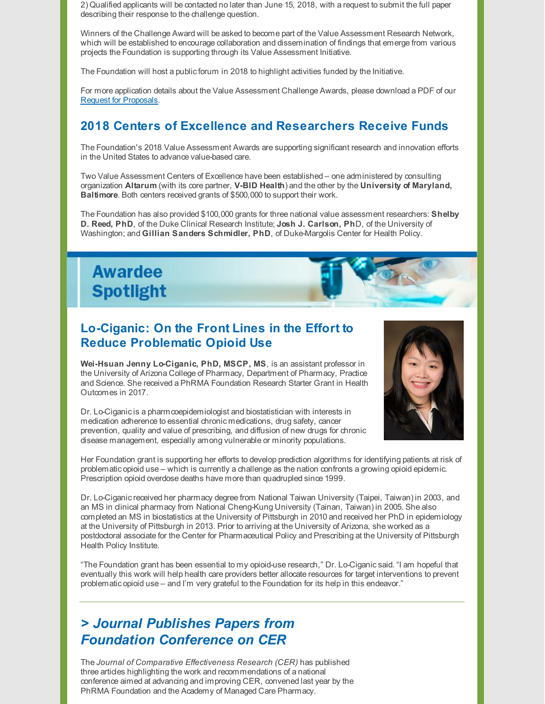2) Qualified applicants will be contacted no later than June 15, 2018, with a request to submit the full paper describing their response to the challenge question.

Winners of the Challenge Award will be asked to become part of the Value Assessment Research Network, which will be established to encourage collaboration and dissemination of findings that emerge from various projects the Foundation is supporting through its Value Assessment Initiative.

The Foundation will host a public forum in 2018 to highlight activities funded by the Initiative.

For more application details about the Value Assessment Challenge Awards, please download a PDF of our Request for [Proposals](http://www.phrmafoundation.org/wp-content/uploads/2018/04/PhRMAFoundation_ValueAssessmentRFP_ChallengeAward-0402.pdf).

### **2018 Centers of Excellence and Researchers Receive Funds**

The Foundation's 2018 Value Assessment Awards are supporting significant research and innovation efforts in the United States to advance value-based care.

Two Value Assessment Centers of Excellence have been established – one administered by consulting organization **Altarum** (with its core partner, **V-BID Health**) and the other by the **University of Maryland, Baltimore**. Both centers received grants of \$500,000 to support their work.

The Foundation has also provided \$100,000 grants for three national value assessment researchers: **Shelby D. Reed, PhD**, of the Duke Clinical Research Institute; **Josh J. Carlson, Ph**D, of the University of Washington; and **Gillian Sanders Schmidler, PhD**, of Duke-Margolis Center for Health Policy.



### **Lo-Ciganic: On the Front Lines in the Effort to Reduce Problematic Opioid Use**

**Wei-Hsuan Jenny Lo-Ciganic, PhD, MSCP, MS**, is an assistant professor in the University of Arizona College of Pharmacy, Department of Pharmacy, Practice and Science. She received a PhRMA Foundation Research Starter Grant in Health Outcomes in 2017.

Dr. Lo-Ciganicis a pharmcoepidemiologist and biostatistician with interests in medication adherence to essential chronic medications, drug safety, cancer prevention, quality and value of prescribing, and diffusion of new drugs for chronic disease management, especially among vulnerable or minority populations.



Her Foundation grant is supporting her efforts to develop prediction algorithms for identifying patients at risk of problematic opioid use – which is currently a challenge as the nation confronts a growing opioid epidemic. Prescription opioid overdose deaths have more than quadrupled since 1999.

Dr. Lo-Ciganicreceived her pharmacy degree from National Taiwan University (Taipei, Taiwan) in 2003, and an MS in clinical pharmacy from National Cheng-Kung University (Tainan, Taiwan) in 2005. She also completed an MS in biostatistics at the University of Pittsburgh in 2010 and received her PhD in epidemiology at the University of Pittsburgh in 2013. Prior to arriving at the University of Arizona, she worked as a postdoctoral associate for the Center for Pharmaceutical Policy and Prescribing at the University of Pittsburgh Health Policy Institute.

"The Foundation grant has been essential to my opioid-use research," Dr. Lo-Ciganicsaid. "I am hopeful that eventually this work will help health care providers better allocate resources for target interventions to prevent problematic opioid use – and I'm very grateful to the Foundation for its help in this endeavor."

# *> Journal Publishes Papers from Foundation Conference on CER*

The *Journal of Comparative Effectiveness Research (CER)* has published three articles highlighting the work and recommendations of a national conference aimed at advancing and improving CER, convened last year by the PhRMA Foundation and the Academy of Managed Care Pharmacy.